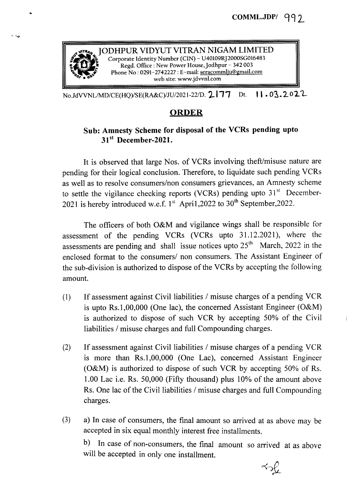

No.JdVVNL/MD/CE(HQ)/SE(RA&C)/JU/2021-22/D. 2177 Dt. 11.03.2022

## ORDER

## Sub: Amnesty Scheme for disposal of the VCRs pending upto 31<sup>st</sup> December-2021.

It is observed that large Nos. of VCRs involving theft/misuse nature are pending for their logical conclusion. Therefore, to liquidate such pending VCRs as well as to resolve consumers/non consumers grievances, an Amnesty scheme to settle the vigilance checking reports (VCRs) pending upto  $31<sup>st</sup>$  December-2021 is hereby introduced w.e.f.  $1^{st}$  Apri1,2022 to 30<sup>th</sup> September,2022.

The officers of both O&M and vigilance wings shall be responsible for assessment of the pending VCRs (VCRs upto 31.12.2021), where the assessments are pending and shall issue notices upto  $25<sup>th</sup>$  March, 2022 in the enclosed format to the consumers/ non consumers. The Assistant Engineer of the sub-division is authorized to dispose of the VCRs by accepting the following amount.

- (1) If assessment against Civil liabilities / misuse charges of a pending VCR is upto Rs.1,00,000 (One lac), the concerned Assistant Engineer (O&M) is authorized to dispose of such VCR by accepting 50% of the Civil liabilities / misuse charges and full Compounding charges.
- (2) If assessment against Civil liabilities / misuse charges of a pending VCR is more than Rs.1,00,000 (One Lac), concerned Assistant Engineer (O&M) is authorized to dispose of such VCR by accepting 50% of Rs. 1.00 Lac i.e. Rs. 50,000 (Fifty thousand) plus 1Q% of the amount above Rs. One lac of the Civil liabilities / misuse charges and full Compounding charges.
- (3) a) In case of consumers, the final amount so arrived at as above may be accepted in six equal monthly interest free installments.

b) In case of non-consumers, the final amount so arrived at as above will be accepted in only one installment.

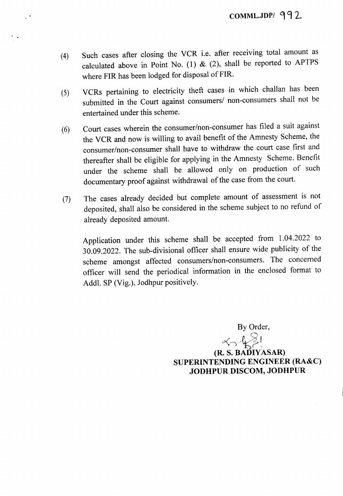- (4) Such cases after closing the VCR i.e. after receiving total amount as calculated above in Point No. (1) & (2), shall be reported to APTPS where FIR has been lodged for disposal of FIR.
- (5) VCRs pertaining to electricity theft cases in which challan has been submitted in the Court against consumers/ non-consumers shall not be entertained under this scheme.
- (6) Court cases wherein the consumer/non-consumer has filed a suit against the VCR and now is willing to avail benefit of the Amnesty Scheme, the consumer/non-consumer shall have to withdraw the court case first and thereafter shall be eligible for applying in the Amnesty Scheme. Benefit under the scheme shall be allowed only on production of such documentary proof against withdrawal of the case from the court.
- (7) The cases already decided but complete amount of assessment is not deposited, shall also be considered in the scheme subject to no refund of already deposited amount.

Application under this scheme shall be accepted from 1.04.2022 to 30.09.2022. The sub-divisional officer shall ensure wide publicity of the scheme amongst affected consumers/non-consumers. The concerned officer will send the periodical information in the enclosed format to Addl. SP (Vig.), Jodhpur positively.

By Order,

 $\sim$ (R. S. BADlY ASAR) SUPERINTENDING ENGINEER (RA&C) JODHPUR DISCOM, JODHPUR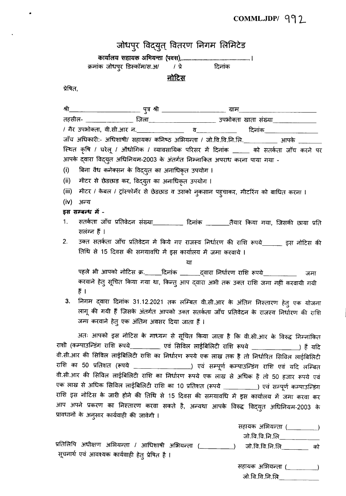## COMML.JDP/ 992

|          | जोधपुर विद्युत् वितरण निगम लिमिटेड                                                                                                 |
|----------|------------------------------------------------------------------------------------------------------------------------------------|
|          |                                                                                                                                    |
|          | क्रमांक जोधपुर डिस्कॉम/स.अ/      / प्रे                दिनांक                                                                      |
|          | <u>नोटिस</u>                                                                                                                       |
| प्रेषित, |                                                                                                                                    |
|          |                                                                                                                                    |
| श्री     |                                                                                                                                    |
|          | तहसील- _________________ जिला_________________________ उपभोक्ता खाता संख्या________________________                                |
|          |                                                                                                                                    |
|          | जाँच अधिकारी:- अधिशाषी/ सहायक/ कनिष्ठ अभियन्ता / जो.वि.वि.नि.लि.___________ आपके ___                                               |
|          | स्थित कृषि / घरेलू / औधोगिक / व्यावसायिक परिसर में दिनांक _____ को सतर्कता जाँच करने पर                                            |
|          | आपके द्वारा विद्युत अधिनियम-2003 के अंतर्गत निम्नाकित अपराध करना पाया गया -                                                        |
| (i)      | बिना वैध कनेक्सन के विद्युत का अनाधिकृत उपयोग ।                                                                                    |
| (ii)     | मीटर से छेडछाड कर, विद्युत का अनाधिकृत उपयोग ।                                                                                     |
| (iii)    | मीटर / केबल / ट्रांस्फोर्मेर से छेडछाड व उसको नुकसान पह्चाकर, मीटरिंग को बाधित करना ।                                              |
| (iv)     | अन्य                                                                                                                               |
|          | इस सम्बन्ध में -                                                                                                                   |
| 1.       | सतर्कता जाँच प्रतिवेदन संख्या__________ दिनांक ________तैयार किया गया, जिसकी छाया प्रति                                            |
|          | सलंग्न हैं ।                                                                                                                       |
| 2.       | उक्त सतर्कता जाँच प्रतिवेदन में किये गए राजस्व निर्धारण की राशि रूपये______ इस नोटिस की                                            |
|          | तिथि से 15 दिवस की समयावधि में इस कार्यालय में जमा करवाये ।                                                                        |
|          | या                                                                                                                                 |
|          | पहले भी आपको नोटिस क्र.______दिनांक ________द्वारा निर्धारण राशि रूपये_______________ जमा                                          |
|          | करवाने हेतु सूचित किया गया था, किन्तु आप द्वारा अभी तक उक्त राशि जमा नहीं करवायी गयी                                               |
|          | हैं ।                                                                                                                              |
|          | निगम द्वारा दिनांक 31.12.2021 तक लम्बित वी.सी.आर के अंतिम निस्तारण हेतु एक योजना                                                   |
|          | लागू की गयी हैं जिसके अंतर्गत आपको उक्त सतर्कता जाँच प्रतिवेदन के राजस्व निर्धारण की राशि                                          |
|          | जमा करवाने हेतु एक अंतिम अवसर दिया जाता हैं ।                                                                                      |
|          | अतः आपको इस नोटिस के माध्यम से सूचित किया जाता है कि वी.सी.आर के विरुद्ध निम्नांकित                                                |
|          | राशी (कम्पाउन्डिंग राशि रूपये __________ एवं सिविल लाईबिलिटी राशि रूपये _______________) हैं यदि                                   |
|          | वी.सी.आर की सिविल लाईबिलिटी राशि का निर्धारण रूपये एक लाख तक है तो निर्धारित सिविल लाईबिलिटी                                       |
|          | राशि का 50 प्रतिशत (रूपये ____________________) एवं सम्पूर्ण कम्पाउन्डिंग राशि एवं यदि लम्बित                                      |
|          | वी.सी.आर की सिविल लाईबिलिटी राशि का निर्धारण रूपये एक लाख से अधिक है तो 50 हजार रूपये एवं                                          |
|          | एक लाख से अधिक सिविल लाईबिलिटी राशि का 10 प्रतिशत (रूपये __________) एवं सम्पूर्ण कम्पाउन्डिंग                                     |
|          | राशि इस नोटिस के जारी होने की तिथि से 15 दिवस की समयावधि में इस कार्यालय में जमा करवा कर                                           |
|          | आप अपने प्रकरण का निस्तारण करवा सकते है, अन्यथा आपके विरुद्ध विद्युत अधिनियम-2003 के<br>प्रावधानों के अनुसार कार्यवाही की जावेगी । |
|          | सहायक अभियन्ता (_________)                                                                                                         |
|          | जो.वि.वि.नि.लि._____________                                                                                                       |
|          | $\frac{1}{2}$                                                                                                                      |

 $\bullet$ 

 $\ddot{\phantom{a}}$ 

प्रतिलिपि अधीक्षण अभियन्ता / आधिशाषी अभियन्ता (\_\_\_\_\_\_\_\_\_\_\_) जो.वि.वि.नि.लि\_\_\_\_\_\_\_\_\_ को<br>सूचनार्थ एवं आवश्यक कार्यवाही हेतु प्रेषित है ।

सहायक अभियन्ता (\_\_\_\_\_\_\_\_\_)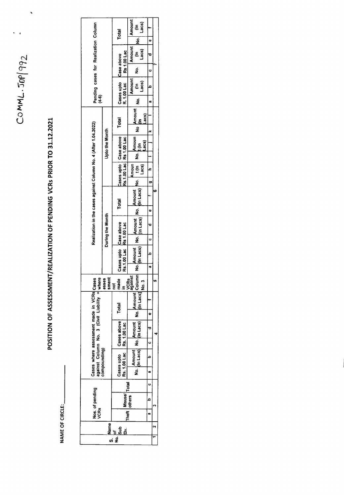$COMML.50992$ 

 $\bullet$ 

 $\ddot{\phantom{0}}$ 

POSITION OF ASSESSMENT/REALIZATION OF PENDING VCRs PRIOR TO 31.12.2021

NAME OF CIRCLE:

| Pending cases for Realization Column<br>$(4-6)$                                                            |                       | Total                                                | Amount<br>∈ຶ້<br>ອ້                                                                                                       |              |  |  |
|------------------------------------------------------------------------------------------------------------|-----------------------|------------------------------------------------------|---------------------------------------------------------------------------------------------------------------------------|--------------|--|--|
|                                                                                                            |                       |                                                      |                                                                                                                           | ۰            |  |  |
|                                                                                                            |                       | Rs 1.00 Lac                                          | $\begin{array}{c} \n\text{ (in)}\\ \n\text{Lacs)}\n\end{array}$<br>Amount                                                 |              |  |  |
|                                                                                                            |                       |                                                      | $\frac{1}{2}$                                                                                                             | ں<br>ب       |  |  |
|                                                                                                            |                       | Cases upto Case above<br>R. 1.00 Lac                 | Amount<br>$\begin{array}{c} \begin{array}{c} \text{if }\\ \text{if }\\ \text{if }\\ \text{if }\\ \end{array} \end{array}$ |              |  |  |
|                                                                                                            |                       |                                                      |                                                                                                                           | æ            |  |  |
|                                                                                                            |                       | Total                                                | Lacs)                                                                                                                     |              |  |  |
|                                                                                                            |                       |                                                      |                                                                                                                           |              |  |  |
|                                                                                                            | <b>Upto the Month</b> | Cases upto   Case above<br>Rs.1.00 Lac   Rs 1.00 Lac | Lacs)                                                                                                                     |              |  |  |
|                                                                                                            |                       |                                                      |                                                                                                                           |              |  |  |
|                                                                                                            |                       |                                                      |                                                                                                                           |              |  |  |
|                                                                                                            |                       |                                                      |                                                                                                                           |              |  |  |
| Realization in the cases against Column No. 4 (After 1.04.2022)<br>During the Month                        |                       | Total                                                |                                                                                                                           |              |  |  |
|                                                                                                            |                       |                                                      |                                                                                                                           | ¢            |  |  |
|                                                                                                            |                       |                                                      |                                                                                                                           |              |  |  |
|                                                                                                            |                       |                                                      | U                                                                                                                         |              |  |  |
|                                                                                                            |                       | Cases upto Case above<br>Rs.1.00 Lac Rs 1.00 Lac     |                                                                                                                           |              |  |  |
|                                                                                                            |                       |                                                      |                                                                                                                           | n,           |  |  |
| VCRs<br>against<br>asses<br>made<br>sment<br><u>ء</u><br>ĕ                                                 |                       |                                                      |                                                                                                                           |              |  |  |
| Cases where assessment made in VCRs Cases<br>against Column No. 3 (Civil Liability + where<br>compounding) |                       | Total<br>Cases above<br>Rs. 1.00 Lac                 |                                                                                                                           |              |  |  |
|                                                                                                            |                       |                                                      |                                                                                                                           | Φ            |  |  |
|                                                                                                            |                       |                                                      |                                                                                                                           |              |  |  |
|                                                                                                            |                       |                                                      |                                                                                                                           | $\mathbf{o}$ |  |  |
|                                                                                                            |                       | Cases upto<br>Rs. 1.00 Lac                           |                                                                                                                           |              |  |  |
|                                                                                                            |                       |                                                      |                                                                                                                           | n,           |  |  |
|                                                                                                            |                       |                                                      |                                                                                                                           |              |  |  |
| Nos. of pending<br><b>VCRs</b>                                                                             |                       |                                                      |                                                                                                                           |              |  |  |
|                                                                                                            |                       | ITheft diffused rotal                                |                                                                                                                           | æ            |  |  |
| e<br>Name<br>á                                                                                             |                       |                                                      |                                                                                                                           |              |  |  |
| $\frac{6}{5}$<br>$\overline{\mathbf{z}}$<br>္တ                                                             |                       |                                                      |                                                                                                                           |              |  |  |
|                                                                                                            |                       |                                                      |                                                                                                                           |              |  |  |